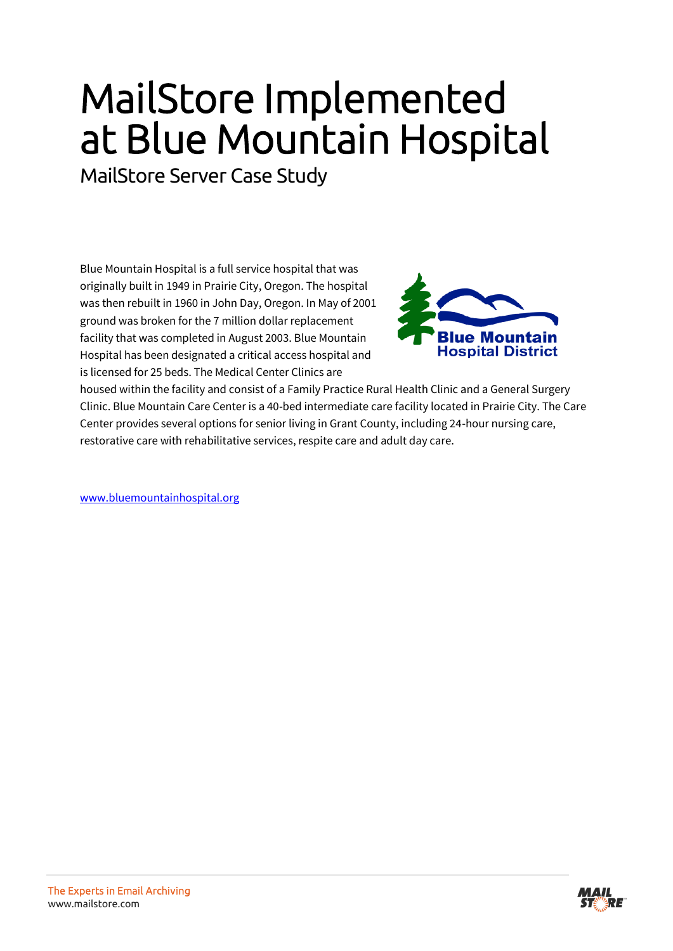## MailStore Implemented at Blue Mountain Hospital

MailStore Server Case Study

Blue Mountain Hospital is a full service hospital that was originally built in 1949 in Prairie City, Oregon. The hospital was then rebuilt in 1960 in John Day, Oregon. In May of 2001 ground was broken for the 7 million dollar replacement facility that was completed in August 2003. Blue Mountain Hospital has been designated a critical access hospital and is licensed for 25 beds. The Medical Center Clinics are



housed within the facility and consist of a Family Practice Rural Health Clinic and a General Surgery Clinic. Blue Mountain Care Center is a 40-bed intermediate care facility located in Prairie City. The Care Center provides several options for senior living in Grant County, including 24-hour nursing care, restorative care with rehabilitative services, respite care and adult day care.

[www.bluemountainhospital.org](http://www.bluemountainhospital.org/)

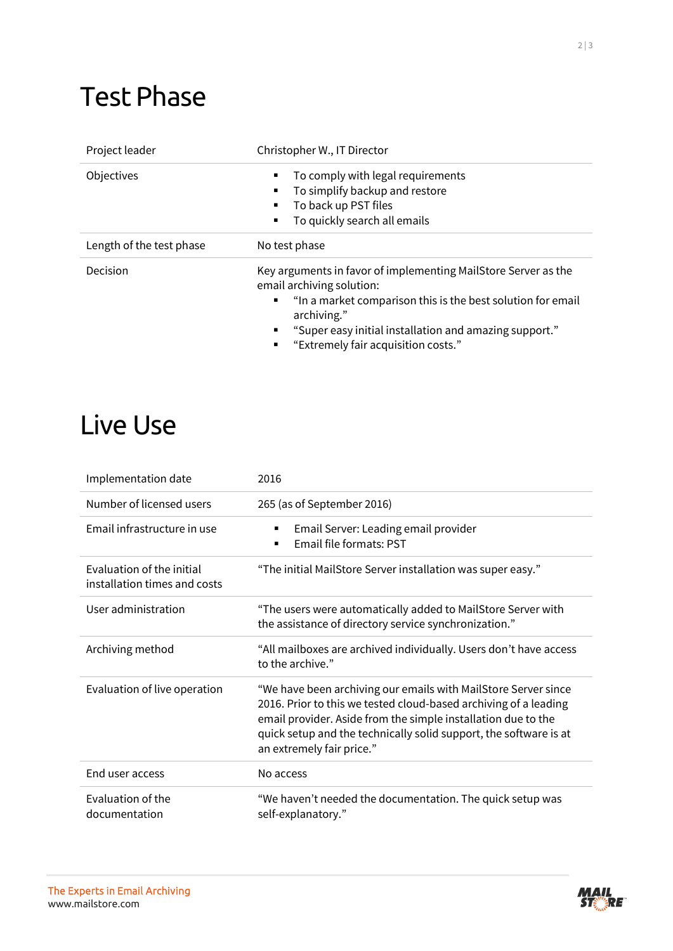## Test Phase

| Project leader           | Christopher W., IT Director                                                                                                                                                                                                                                                          |
|--------------------------|--------------------------------------------------------------------------------------------------------------------------------------------------------------------------------------------------------------------------------------------------------------------------------------|
| Objectives               | To comply with legal requirements<br>To simplify backup and restore<br>To back up PST files<br>To quickly search all emails                                                                                                                                                          |
| Length of the test phase | No test phase                                                                                                                                                                                                                                                                        |
| Decision                 | Key arguments in favor of implementing MailStore Server as the<br>email archiving solution:<br>"In a market comparison this is the best solution for email<br>٠<br>archiving."<br>"Super easy initial installation and amazing support."<br>٠<br>"Extremely fair acquisition costs." |

## Live Use

| Implementation date                                       | 2016                                                                                                                                                                                                                                                                                                  |
|-----------------------------------------------------------|-------------------------------------------------------------------------------------------------------------------------------------------------------------------------------------------------------------------------------------------------------------------------------------------------------|
| Number of licensed users                                  | 265 (as of September 2016)                                                                                                                                                                                                                                                                            |
| Email infrastructure in use                               | Email Server: Leading email provider<br>٠<br>Email file formats: PST<br>٠                                                                                                                                                                                                                             |
| Evaluation of the initial<br>installation times and costs | "The initial MailStore Server installation was super easy."                                                                                                                                                                                                                                           |
| User administration                                       | "The users were automatically added to MailStore Server with<br>the assistance of directory service synchronization."                                                                                                                                                                                 |
| Archiving method                                          | "All mailboxes are archived individually. Users don't have access<br>to the archive."                                                                                                                                                                                                                 |
| Evaluation of live operation                              | "We have been archiving our emails with MailStore Server since<br>2016. Prior to this we tested cloud-based archiving of a leading<br>email provider. Aside from the simple installation due to the<br>quick setup and the technically solid support, the software is at<br>an extremely fair price." |
| End user access                                           | No access                                                                                                                                                                                                                                                                                             |
| Evaluation of the<br>documentation                        | "We haven't needed the documentation. The quick setup was<br>self-explanatory."                                                                                                                                                                                                                       |